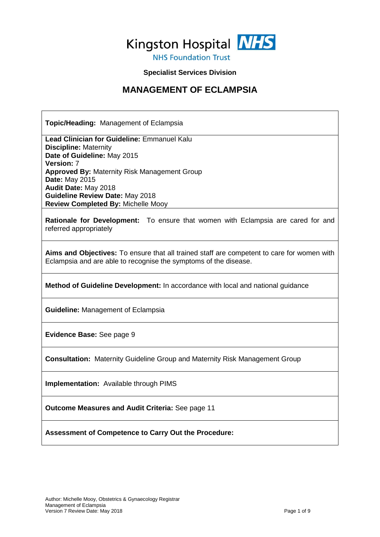

## **Specialist Services Division**

# **MANAGEMENT OF ECLAMPSIA**

**Topic/Heading:** Management of Eclampsia

**Lead Clinician for Guideline:** Emmanuel Kalu **Discipline:** Maternity **Date of Guideline:** May 2015 **Version:** 7 **Approved By:** Maternity Risk Management Group **Date:** May 2015 **Audit Date:** May 2018 **Guideline Review Date:** May 2018 **Review Completed By:** Michelle Mooy

**Rationale for Development:** To ensure that women with Eclampsia are cared for and referred appropriately

**Aims and Objectives:** To ensure that all trained staff are competent to care for women with Eclampsia and are able to recognise the symptoms of the disease.

**Method of Guideline Development:** In accordance with local and national guidance

**Guideline:** Management of Eclampsia

**Evidence Base:** See page 9

**Consultation:** Maternity Guideline Group and Maternity Risk Management Group

**Implementation:** Available through PIMS

**Outcome Measures and Audit Criteria:** See page 11

**Assessment of Competence to Carry Out the Procedure:**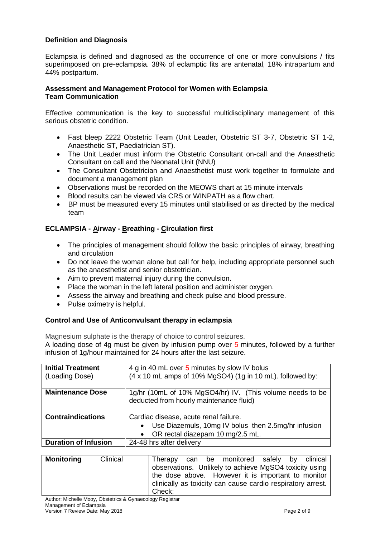## **Definition and Diagnosis**

Eclampsia is defined and diagnosed as the occurrence of one or more convulsions / fits superimposed on pre-eclampsia. 38% of eclamptic fits are antenatal, 18% intrapartum and 44% postpartum.

#### **Assessment and Management Protocol for Women with Eclampsia Team Communication**

Effective communication is the key to successful multidisciplinary management of this serious obstetric condition.

- Fast bleep 2222 Obstetric Team (Unit Leader, Obstetric ST 3-7, Obstetric ST 1-2, Anaesthetic ST, Paediatrician ST).
- The Unit Leader must inform the Obstetric Consultant on-call and the Anaesthetic Consultant on call and the Neonatal Unit (NNU)
- The Consultant Obstetrician and Anaesthetist must work together to formulate and document a management plan
- Observations must be recorded on the MEOWS chart at 15 minute intervals
- Blood results can be viewed via CRS or WINPATH as a flow chart.
- BP must be measured every 15 minutes until stabilised or as directed by the medical team

## **ECLAMPSIA - Airway - Breathing - Circulation first**

- The principles of management should follow the basic principles of airway, breathing and circulation
- Do not leave the woman alone but call for help, including appropriate personnel such as the anaesthetist and senior obstetrician.
- Aim to prevent maternal injury during the convulsion.
- Place the woman in the left lateral position and administer oxygen.
- Assess the airway and breathing and check pulse and blood pressure.
- Pulse oximetry is helpful.

## **Control and Use of Anticonvulsant therapy in eclampsia**

Magnesium sulphate is the therapy of choice to control seizures.

A loading dose of 4g must be given by infusion pump over 5 minutes, followed by a further infusion of 1g/hour maintained for 24 hours after the last seizure.

| <b>Initial Treatment</b><br>(Loading Dose) | 4 g in 40 mL over 5 minutes by slow IV bolus<br>(4 x 10 mL amps of 10% MgSO4) (1g in 10 mL). followed by:                                     |
|--------------------------------------------|-----------------------------------------------------------------------------------------------------------------------------------------------|
| <b>Maintenance Dose</b>                    | 1g/hr (10mL of 10% MgSO4/hr) IV. (This volume needs to be<br>deducted from hourly maintenance fluid)                                          |
| <b>Contraindications</b>                   | Cardiac disease, acute renal failure.<br>Use Diazemuls, 10mg IV bolus then 2.5mg/hr infusion<br>$\bullet$<br>OR rectal diazepam 10 mg/2.5 mL. |
| <b>Duration of Infusion</b>                | 24-48 hrs after delivery                                                                                                                      |

| <b>Monitoring</b> | Clinical | can be monitored safely by clinical<br>Therapy<br>observations. Unlikely to achieve MgSO4 toxicity using<br>the dose above. However it is important to monitor<br>clinically as toxicity can cause cardio respiratory arrest.<br>Check: |
|-------------------|----------|-----------------------------------------------------------------------------------------------------------------------------------------------------------------------------------------------------------------------------------------|
|-------------------|----------|-----------------------------------------------------------------------------------------------------------------------------------------------------------------------------------------------------------------------------------------|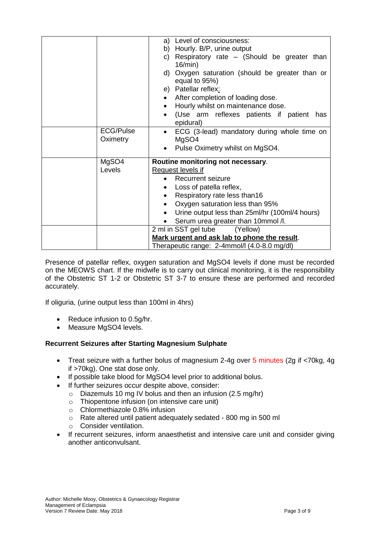Presence of patellar reflex, oxygen saturation and MgSO4 levels if done must be recorded on the MEOWS chart. If the midwife is to carry out clinical monitoring, it is the responsibility of the Obstetric ST 1-2 or Obstetric ST 3-7 to ensure these are performed and recorded accurately.

If oliguria, (urine output less than 100ml in 4hrs)

- Reduce infusion to 0.5a/hr.
- Measure MgSO4 levels.

## **Recurrent Seizures after Starting Magnesium Sulphate**

- Treat seizure with a further bolus of magnesium 2-4g over 5 minutes (2g if <70kg, 4g if >70kg). One stat dose only.
- If possible take blood for MgSO4 level prior to additional bolus.
- If further seizures occur despite above, consider:
	- o Diazemuls 10 mg IV bolus and then an infusion (2.5 mg/hr)
	- o Thiopentone infusion (on intensive care unit)
	- o Chlormethiazole 0.8% infusion
	- o Rate altered until patient adequately sedated 800 mg in 500 ml
	- o Consider ventilation.
- If recurrent seizures, inform anaesthetist and intensive care unit and consider giving another anticonvulsant.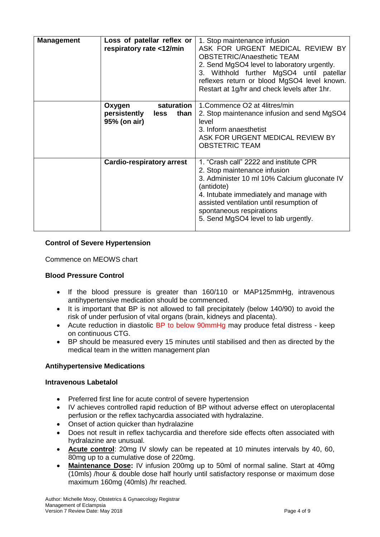| <b>Management</b> | Loss of patellar reflex or<br>respiratory rate <12/min               | 1. Stop maintenance infusion<br>ASK FOR URGENT MEDICAL REVIEW BY<br><b>OBSTETRIC/Anaesthetic TEAM</b><br>2. Send MgSO4 level to laboratory urgently.<br>3. Withhold further MgSO4 until patellar<br>reflexes return or blood MgSO4 level known.<br>Restart at 1g/hr and check levels after 1hr. |  |
|-------------------|----------------------------------------------------------------------|-------------------------------------------------------------------------------------------------------------------------------------------------------------------------------------------------------------------------------------------------------------------------------------------------|--|
|                   | saturation<br>Oxygen<br>persistently<br>than<br>less<br>95% (on air) | 1. Commence O2 at 4 litres/min<br>2. Stop maintenance infusion and send MgSO4<br>level<br>3. Inform anaesthetist<br>ASK FOR URGENT MEDICAL REVIEW BY<br><b>OBSTETRIC TEAM</b>                                                                                                                   |  |
|                   | <b>Cardio-respiratory arrest</b>                                     | 1. "Crash call" 2222 and institute CPR<br>2. Stop maintenance infusion<br>3. Administer 10 ml 10% Calcium gluconate IV<br>(antidote)<br>4. Intubate immediately and manage with<br>assisted ventilation until resumption of<br>spontaneous respirations<br>5. Send MgSO4 level to lab urgently. |  |

## **Control of Severe Hypertension**

Commence on MEOWS chart

## **Blood Pressure Control**

- If the blood pressure is greater than 160/110 or MAP125mmHg, intravenous antihypertensive medication should be commenced.
- It is important that BP is not allowed to fall precipitately (below 140/90) to avoid the risk of under perfusion of vital organs (brain, kidneys and placenta).
- Acute reduction in diastolic BP to below 90mmHg may produce fetal distress keep on continuous CTG.
- BP should be measured every 15 minutes until stabilised and then as directed by the medical team in the written management plan

## **Antihypertensive Medications**

## **Intravenous Labetalol**

- Preferred first line for acute control of severe hypertension
- IV achieves controlled rapid reduction of BP without adverse effect on uteroplacental perfusion or the reflex tachycardia associated with hydralazine.
- Onset of action quicker than hydralazine
- Does not result in reflex tachycardia and therefore side effects often associated with hydralazine are unusual.
- **Acute control**: 20mg IV slowly can be repeated at 10 minutes intervals by 40, 60, 80mg up to a cumulative dose of 220mg.
- **Maintenance Dose:** IV infusion 200mg up to 50ml of normal saline. Start at 40mg (10mls) /hour & double dose half hourly until satisfactory response or maximum dose maximum 160mg (40mls) /hr reached.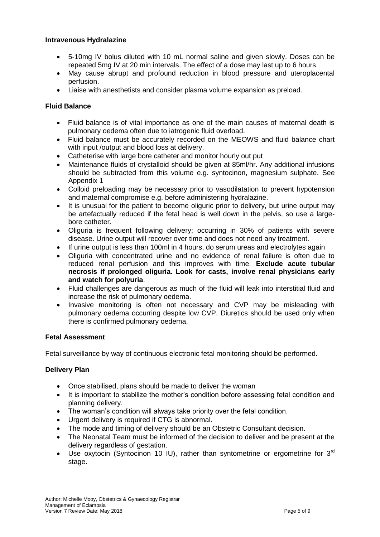## **Intravenous Hydralazine**

- 5-10mg IV bolus diluted with 10 mL normal saline and given slowly. Doses can be repeated 5mg IV at 20 min intervals. The effect of a dose may last up to 6 hours.
- May cause abrupt and profound reduction in blood pressure and uteroplacental perfusion.
- Liaise with anesthetists and consider plasma volume expansion as preload.

## **Fluid Balance**

- Fluid balance is of vital importance as one of the main causes of maternal death is pulmonary oedema often due to iatrogenic fluid overload.
- Fluid balance must be accurately recorded on the MEOWS and fluid balance chart with input /output and blood loss at delivery.
- Catheterise with large bore catheter and monitor hourly out put
- Maintenance fluids of crystalloid should be given at 85ml/hr. Any additional infusions should be subtracted from this volume e.g. syntocinon, magnesium sulphate. See Appendix 1
- Colloid preloading may be necessary prior to vasodilatation to prevent hypotension and maternal compromise e.g. before administering hydralazine.
- It is unusual for the patient to become oliquric prior to delivery, but urine output may be artefactually reduced if the fetal head is well down in the pelvis, so use a largebore catheter.
- Oliguria is frequent following delivery; occurring in 30% of patients with severe disease. Urine output will recover over time and does not need any treatment.
- If urine output is less than 100ml in 4 hours, do serum ureas and electrolytes again
- Oliguria with concentrated urine and no evidence of renal failure is often due to reduced renal perfusion and this improves with time. **Exclude acute tubular necrosis if prolonged oliguria. Look for casts, involve renal physicians early and watch for polyuria**.
- Fluid challenges are dangerous as much of the fluid will leak into interstitial fluid and increase the risk of pulmonary oedema.
- Invasive monitoring is often not necessary and CVP may be misleading with pulmonary oedema occurring despite low CVP. Diuretics should be used only when there is confirmed pulmonary oedema.

## **Fetal Assessment**

Fetal surveillance by way of continuous electronic fetal monitoring should be performed.

## **Delivery Plan**

- Once stabilised, plans should be made to deliver the woman
- It is important to stabilize the mother's condition before assessing fetal condition and planning delivery.
- The woman's condition will always take priority over the fetal condition.
- Urgent delivery is required if CTG is abnormal.
- The mode and timing of delivery should be an Obstetric Consultant decision.
- The Neonatal Team must be informed of the decision to deliver and be present at the delivery regardless of gestation.
- Use oxytocin (Syntocinon 10 IU), rather than syntometrine or ergometrine for  $3<sup>rd</sup>$ stage.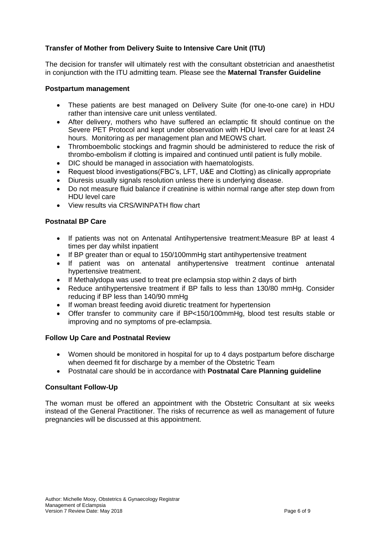## **Transfer of Mother from Delivery Suite to Intensive Care Unit (ITU)**

The decision for transfer will ultimately rest with the consultant obstetrician and anaesthetist in conjunction with the ITU admitting team. Please see the **Maternal Transfer Guideline**

## **Postpartum management**

- These patients are best managed on Delivery Suite (for one-to-one care) in HDU rather than intensive care unit unless ventilated.
- After delivery, mothers who have suffered an eclamptic fit should continue on the Severe PET Protocol and kept under observation with HDU level care for at least 24 hours. Monitoring as per management plan and MEOWS chart.
- Thromboembolic stockings and fragmin should be administered to reduce the risk of thrombo-embolism if clotting is impaired and continued until patient is fully mobile.
- DIC should be managed in association with haematologists.
- Request blood investigations(FBC's, LFT, U&E and Clotting) as clinically appropriate
- Diuresis usually signals resolution unless there is underlying disease.
- Do not measure fluid balance if creatinine is within normal range after step down from HDU level care
- View results via CRS/WINPATH flow chart

## **Postnatal BP Care**

- If patients was not on Antenatal Antihypertensive treatment:Measure BP at least 4 times per day whilst inpatient
- If BP greater than or equal to 150/100mmHg start antihypertensive treatment
- If patient was on antenatal antihypertensive treatment continue antenatal hypertensive treatment.
- If Methalydopa was used to treat pre eclampsia stop within 2 days of birth
- Reduce antihypertensive treatment if BP falls to less than 130/80 mmHg. Consider reducing if BP less than 140/90 mmHg
- If woman breast feeding avoid diuretic treatment for hypertension
- Offer transfer to community care if BP<150/100mmHg, blood test results stable or improving and no symptoms of pre-eclampsia.

## **Follow Up Care and Postnatal Review**

- Women should be monitored in hospital for up to 4 days postpartum before discharge when deemed fit for discharge by a member of the Obstetric Team
- Postnatal care should be in accordance with **Postnatal Care Planning guideline**

## **Consultant Follow-Up**

The woman must be offered an appointment with the Obstetric Consultant at six weeks instead of the General Practitioner. The risks of recurrence as well as management of future pregnancies will be discussed at this appointment.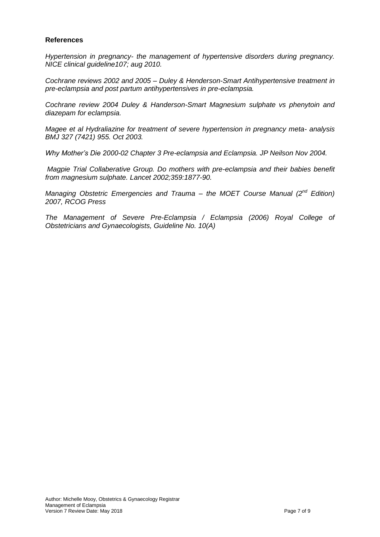#### **References**

*Hypertension in pregnancy- the management of hypertensive disorders during pregnancy. NICE clinical guideline107; aug 2010.*

*Cochrane reviews 2002 and 2005 – Duley & Henderson-Smart Antihypertensive treatment in pre-eclampsia and post partum antihypertensives in pre-eclampsia.*

*Cochrane review 2004 Duley & Handerson-Smart Magnesium sulphate vs phenytoin and diazepam for eclampsia.*

*Magee et al Hydraliazine for treatment of severe hypertension in pregnancy meta- analysis BMJ 327 (7421) 955. Oct 2003.*

*Why Mother's Die 2000-02 Chapter 3 Pre-eclampsia and Eclampsia. JP Neilson Nov 2004.*

*Magpie Trial Collaberative Group. Do mothers with pre-eclampsia and their babies benefit from magnesium sulphate. Lancet 2002;359:1877-90.*

*Managing Obstetric Emergencies and Trauma – the MOET Course Manual (2nd Edition) 2007, RCOG Press*

*The Management of Severe Pre-Eclampsia / Eclampsia (2006) Royal College of Obstetricians and Gynaecologists, Guideline No. 10(A)*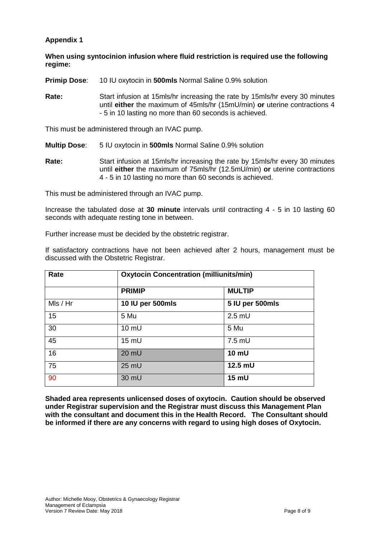## **Appendix 1**

**When using syntocinion infusion where fluid restriction is required use the following regime:**

**Primip Dose:** 10 IU oxytocin in **500mls** Normal Saline 0.9% solution

**Rate:** Start infusion at 15mls/hr increasing the rate by 15mls/hr every 30 minutes until **either** the maximum of 45mls/hr (15mU/min) **or** uterine contractions 4 - 5 in 10 lasting no more than 60 seconds is achieved.

This must be administered through an IVAC pump.

**Multip Dose**: 5 IU oxytocin in **500mls** Normal Saline 0.9% solution

**Rate:** Start infusion at 15mls/hr increasing the rate by 15mls/hr every 30 minutes until **either** the maximum of 75mls/hr (12.5mU/min) **or** uterine contractions 4 - 5 in 10 lasting no more than 60 seconds is achieved.

This must be administered through an IVAC pump.

Increase the tabulated dose at **30 minute** intervals until contracting 4 - 5 in 10 lasting 60 seconds with adequate resting tone in between.

Further increase must be decided by the obstetric registrar.

If satisfactory contractions have not been achieved after 2 hours, management must be discussed with the Obstetric Registrar.

| Rate     | <b>Oxytocin Concentration (milliunits/min)</b> |                 |  |  |
|----------|------------------------------------------------|-----------------|--|--|
|          | <b>PRIMIP</b>                                  | <b>MULTIP</b>   |  |  |
| Mls / Hr | 10 IU per 500mls                               | 5 IU per 500mls |  |  |
| 15       | 5 Mu                                           | $2.5$ mU        |  |  |
| 30       | 10 mU                                          | 5 Mu            |  |  |
| 45       | 15 mU                                          | 7.5 mU          |  |  |
| 16       | 20 mU                                          | 10 mU           |  |  |
| 75       | 25 mU                                          | 12.5 mU         |  |  |
| 90       | 30 mU                                          | 15 mU           |  |  |

**Shaded area represents unlicensed doses of oxytocin. Caution should be observed under Registrar supervision and the Registrar must discuss this Management Plan with the consultant and document this in the Health Record. The Consultant should be informed if there are any concerns with regard to using high doses of Oxytocin.**